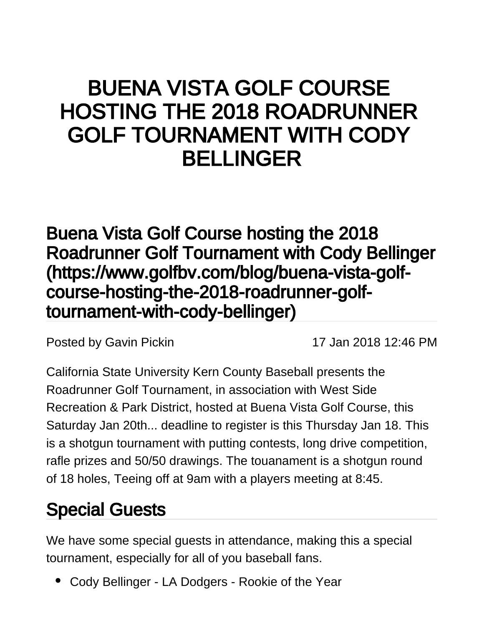# BUENA VISTA GOLF COURSE HOSTING THE 2018 ROADRUNNER GOLF TOURNAMENT WITH CODY BELLINGER

[Buena Vista Golf Course hosting the 2018](https://www.golfbv.com/blog/buena-vista-golf-course-hosting-the-2018-roadrunner-golf-tournament-with-cody-bellinger)  [Roadrunner Golf Tournament with Cody Bellinger](https://www.golfbv.com/blog/buena-vista-golf-course-hosting-the-2018-roadrunner-golf-tournament-with-cody-bellinger) [\(https://www.golfbv.com/blog/buena-vista-golf](https://www.golfbv.com/blog/buena-vista-golf-course-hosting-the-2018-roadrunner-golf-tournament-with-cody-bellinger)[course-hosting-the-2018-roadrunner-golf](https://www.golfbv.com/blog/buena-vista-golf-course-hosting-the-2018-roadrunner-golf-tournament-with-cody-bellinger)[tournament-with-cody-bellinger\)](https://www.golfbv.com/blog/buena-vista-golf-course-hosting-the-2018-roadrunner-golf-tournament-with-cody-bellinger)

Posted by [Gavin Pickin](#) 17 Jan 2018 12:46 PM

California State University Kern County Baseball presents the Roadrunner Golf Tournament, in association with West Side Recreation & Park District, hosted at Buena Vista Golf Course, this Saturday Jan 20th... deadline to register is this Thursday Jan 18. This is a shotgun tournament with putting contests, long drive competition, rafle prizes and 50/50 drawings. The touanament is a shotgun round of 18 holes, Teeing off at 9am with a players meeting at 8:45.

#### Special Guests

We have some special guests in attendance, making this a special tournament, especially for all of you baseball fans.

Cody Bellinger - LA Dodgers - Rookie of the Year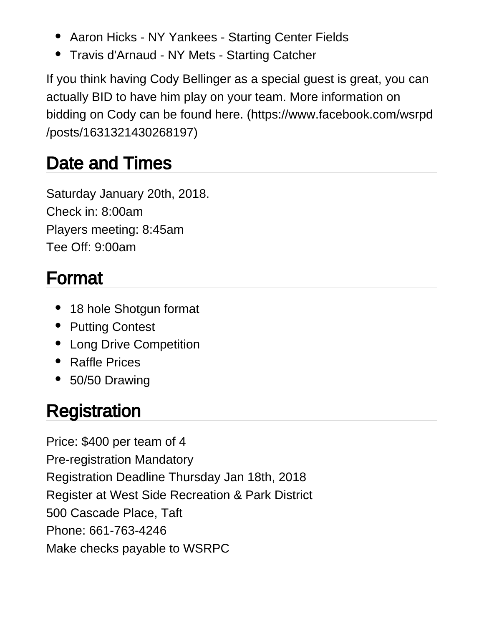- Aaron Hicks NY Yankees Starting Center Fields
- Travis d'Arnaud NY Mets Starting Catcher

If you think having Cody Bellinger as a special guest is great, you can actually BID to have him play on your team. [More information on](https://www.facebook.com/wsrpd/posts/1631321430268197)  [bidding on Cody can be found here. \(https://www.facebook.com/wsrpd](https://www.facebook.com/wsrpd/posts/1631321430268197) [/posts/1631321430268197\)](https://www.facebook.com/wsrpd/posts/1631321430268197)

#### Date and Times

Saturday January 20th, 2018. Check in: 8:00am Players meeting: 8:45am Tee Off: 9:00am

### Format

- 18 hole Shotgun format
- Putting Contest
- Long Drive Competition
- Raffle Prices
- 50/50 Drawing

## **Registration**

Price: \$400 per team of 4 Pre-registration Mandatory Registration Deadline Thursday Jan 18th, 2018 Register at West Side Recreation & Park District 500 Cascade Place, Taft Phone: 661-763-4246 Make checks payable to WSRPC